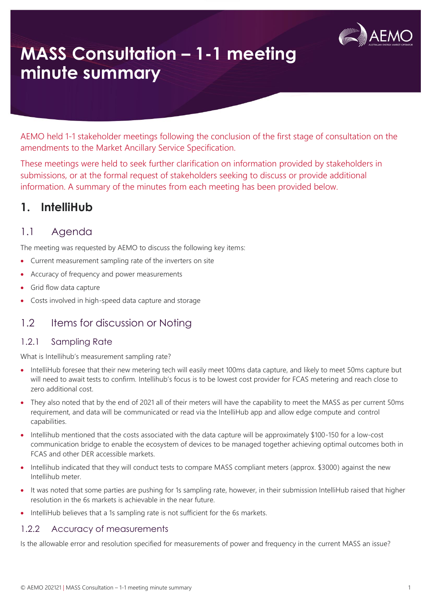

# **MASS Consultation – 1-1 meeting minute summary**

AEMO held 1-1 stakeholder meetings following the conclusion of the first stage of consultation on the amendments to the Market Ancillary Service Specification.

These meetings were held to seek further clarification on information provided by stakeholders in submissions, or at the formal request of stakeholders seeking to discuss or provide additional information. A summary of the minutes from each meeting has been provided below.

### **1. IntelliHub**

### 1.1 Agenda

The meeting was requested by AEMO to discuss the following key items:

- Current measurement sampling rate of the inverters on site
- Accuracy of frequency and power measurements
- Grid flow data capture
- Costs involved in high-speed data capture and storage

### 1.2 Items for discussion or Noting

### 1.2.1 Sampling Rate

What is Intellihub's measurement sampling rate?

- IntelliHub foresee that their new metering tech will easily meet 100ms data capture, and likely to meet 50ms capture but will need to await tests to confirm. Intellihub's focus is to be lowest cost provider for FCAS metering and reach close to zero additional cost.
- They also noted that by the end of 2021 all of their meters will have the capability to meet the MASS as per current 50ms requirement, and data will be communicated or read via the IntelliHub app and allow edge compute and control capabilities.
- Intellihub mentioned that the costs associated with the data capture will be approximately \$100-150 for a low-cost communication bridge to enable the ecosystem of devices to be managed together achieving optimal outcomes both in FCAS and other DER accessible markets.
- Intellihub indicated that they will conduct tests to compare MASS compliant meters (approx. \$3000) against the new Intellihub meter.
- It was noted that some parties are pushing for 1s sampling rate, however, in their submission IntelliHub raised that higher resolution in the 6s markets is achievable in the near future.
- IntelliHub believes that a 1s sampling rate is not sufficient for the 6s markets.

### 1.2.2 Accuracy of measurements

Is the allowable error and resolution specified for measurements of power and frequency in the current MASS an issue?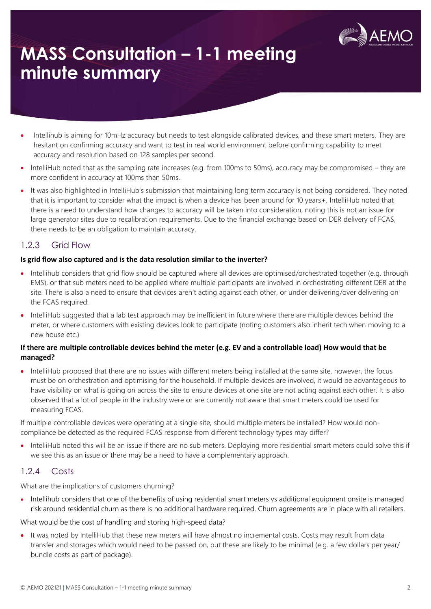

# **MASS Consultation – 1-1 meeting minute summary**

- Intellihub is aiming for 10mHz accuracy but needs to test alongside calibrated devices, and these smart meters. They are hesitant on confirming accuracy and want to test in real world environment before confirming capability to meet accuracy and resolution based on 128 samples per second.
- IntelliHub noted that as the sampling rate increases (e.g. from 100ms to 50ms), accuracy may be compromised they are more confident in accuracy at 100ms than 50ms.
- It was also highlighted in IntelliHub's submission that maintaining long term accuracy is not being considered. They noted that it is important to consider what the impact is when a device has been around for 10 years+. IntelliHub noted that there is a need to understand how changes to accuracy will be taken into consideration, noting this is not an issue for large generator sites due to recalibration requirements. Due to the financial exchange based on DER delivery of FCAS, there needs to be an obligation to maintain accuracy.

### 1.2.3 Grid Flow

#### **Is grid flow also captured and is the data resolution similar to the inverter?**

- Intellihub considers that grid flow should be captured where all devices are optimised/orchestrated together (e.g. through EMS), or that sub meters need to be applied where multiple participants are involved in orchestrating different DER at the site. There is also a need to ensure that devices aren't acting against each other, or under delivering/over delivering on the FCAS required.
- IntelliHub suggested that a lab test approach may be inefficient in future where there are multiple devices behind the meter, or where customers with existing devices look to participate (noting customers also inherit tech when moving to a new house etc.)

#### **If there are multiple controllable devices behind the meter (e.g. EV and a controllable load) How would that be managed?**

• IntelliHub proposed that there are no issues with different meters being installed at the same site, however, the focus must be on orchestration and optimising for the household. If multiple devices are involved, it would be advantageous to have visibility on what is going on across the site to ensure devices at one site are not acting against each other. It is also observed that a lot of people in the industry were or are currently not aware that smart meters could be used for measuring FCAS.

If multiple controllable devices were operating at a single site, should multiple meters be installed? How would noncompliance be detected as the required FCAS response from different technology types may differ?

• IntelliHub noted this will be an issue if there are no sub meters. Deploying more residential smart meters could solve this if we see this as an issue or there may be a need to have a complementary approach.

### 1.2.4 Costs

What are the implications of customers churning?

• Intellihub considers that one of the benefits of using residential smart meters vs additional equipment onsite is managed risk around residential churn as there is no additional hardware required. Churn agreements are in place with all retailers.

What would be the cost of handling and storing high-speed data?

• It was noted by IntelliHub that these new meters will have almost no incremental costs. Costs may result from data transfer and storages which would need to be passed on, but these are likely to be minimal (e.g. a few dollars per year/ bundle costs as part of package).